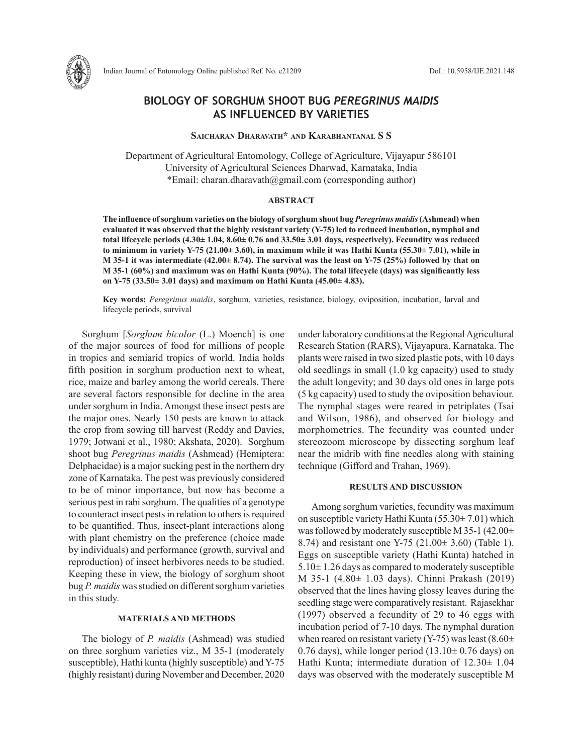

# **BIOLOGY OF SORGHUM SHOOT BUG** *PEREGRINUS MAIDIS*  **AS INFLUENCED BY VARIETIES**

# **Saicharan Dharavath\* and Karabhantanal S S**

Department of Agricultural Entomology, College of Agriculture, Vijayapur 586101 University of Agricultural Sciences Dharwad, Karnataka, India \*Email: charan.dharavath@gmail.com (corresponding author)

# **ABSTRACT**

**The influence of sorghum varieties on the biology of sorghum shoot bug** *Peregrinus maidis* **(Ashmead) when evaluated it was observed that the highly resistant variety (Y-75) led to reduced incubation, nymphal and total lifecycle periods (4.30± 1.04, 8.60± 0.76 and 33.50± 3.01 days, respectively). Fecundity was reduced to minimum in variety Y-75 (21.00± 3.60), in maximum while it was Hathi Kunta (55.30± 7.01), while in M 35-1 it was intermediate (42.00± 8.74). The survival was the least on Y-75 (25%) followed by that on M 35-1 (60%) and maximum was on Hathi Kunta (90%). The total lifecycle (days) was significantly less on Y-75 (33.50± 3.01 days) and maximum on Hathi Kunta (45.00± 4.83).** 

**Key words:** *Peregrinus maidis*, sorghum, varieties, resistance, biology, oviposition, incubation, larval and lifecycle periods, survival

Sorghum [*Sorghum bicolor* (L.) Moench] is one of the major sources of food for millions of people in tropics and semiarid tropics of world. India holds fifth position in sorghum production next to wheat, rice, maize and barley among the world cereals. There are several factors responsible for decline in the area under sorghum in India. Amongst these insect pests are the major ones. Nearly 150 pests are known to attack the crop from sowing till harvest (Reddy and Davies, 1979; Jotwani et al., 1980; Akshata, 2020). Sorghum shoot bug *Peregrinus maidis* (Ashmead) (Hemiptera: Delphacidae) is a major sucking pest in the northern dry zone of Karnataka. The pest was previously considered to be of minor importance, but now has become a serious pest in rabisorghum. The qualities of a genotype to counteract insect pests in relation to others is required to be quantified. Thus, insect-plant interactions along with plant chemistry on the preference (choice made by individuals) and performance (growth, survival and reproduction) of insect herbivores needs to be studied. Keeping these in view, the biology of sorghum shoot bug *P. maidis* was studied on different sorghum varieties in this study.

# **MATERIALS AND METHODS**

The biology of *P. maidis* (Ashmead) was studied on three sorghum varieties viz., M 35-1 (moderately susceptible), Hathi kunta (highly susceptible) and Y-75 (highly resistant) during November and December, 2020 under laboratory conditions at the Regional Agricultural Research Station (RARS), Vijayapura, Karnataka. The plants were raised in two sized plastic pots, with 10 days old seedlings in small (1.0 kg capacity) used to study the adult longevity; and 30 days old ones in large pots (5 kg capacity) used to study the oviposition behaviour. The nymphal stages were reared in petriplates (Tsai and Wilson, 1986), and observed for biology and morphometrics. The fecundity was counted under stereozoom microscope by dissecting sorghum leaf near the midrib with fine needles along with staining technique (Gifford and Trahan, 1969).

#### **RESULTS AND DISCUSSION**

Among sorghum varieties, fecundity was maximum on susceptible variety Hathi Kunta (55.30± 7.01) which was followed by moderately susceptible M 35-1 (42.00± 8.74) and resistant one Y-75 (21.00± 3.60) (Table 1). Eggs on susceptible variety (Hathi Kunta) hatched in  $5.10\pm1.26$  days as compared to moderately susceptible M 35-1 (4.80± 1.03 days). Chinni Prakash (2019) observed that the lines having glossy leaves during the seedling stage were comparatively resistant. Rajasekhar (1997) observed a fecundity of 29 to 46 eggs with incubation period of 7-10 days. The nymphal duration when reared on resistant variety (Y-75) was least (8.60 $\pm$ 0.76 days), while longer period  $(13.10 \pm 0.76$  days) on Hathi Kunta; intermediate duration of 12.30± 1.04 days was observed with the moderately susceptible M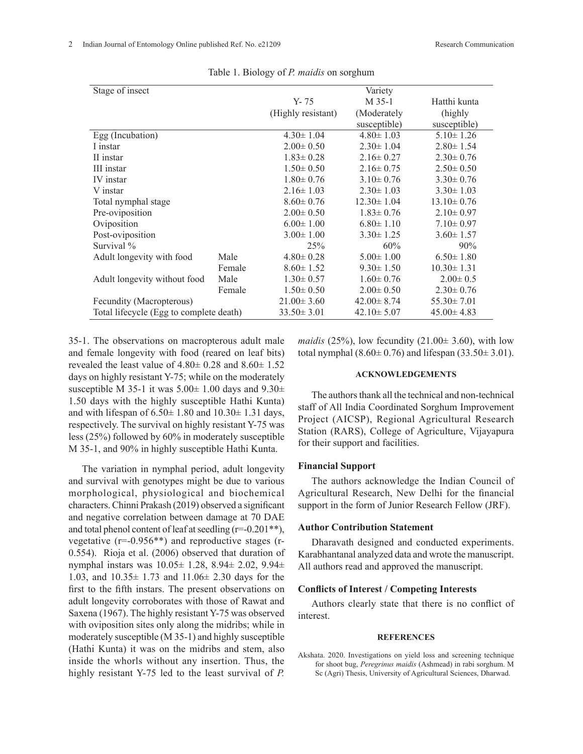| Stage of insect                         |        |                    | Variety          |                  |
|-----------------------------------------|--------|--------------------|------------------|------------------|
|                                         |        | Y-75               | M 35-1           | Hatthi kunta     |
|                                         |        | (Highly resistant) | (Moderately      | (highly)         |
|                                         |        |                    | susceptible)     | susceptible)     |
| Egg (Incubation)                        |        | $4.30 \pm 1.04$    | $4.80 \pm 1.03$  | $5.10 \pm 1.26$  |
| I instar                                |        | $2.00 \pm 0.50$    | $2.30 \pm 1.04$  | $2.80 \pm 1.54$  |
| II instar                               |        | $1.83 \pm 0.28$    | $2.16 \pm 0.27$  | $2.30 \pm 0.76$  |
| III instar                              |        | $1.50 \pm 0.50$    | $2.16 \pm 0.75$  | $2.50 \pm 0.50$  |
| IV instar                               |        | $1.80 \pm 0.76$    | $3.10 \pm 0.76$  | $3.30 \pm 0.76$  |
| V instar                                |        | $2.16 \pm 1.03$    | $2.30 \pm 1.03$  | $3.30 \pm 1.03$  |
| Total nymphal stage                     |        | $8.60 \pm 0.76$    | $12.30 \pm 1.04$ | $13.10 \pm 0.76$ |
| Pre-oviposition                         |        | $2.00 \pm 0.50$    | $1.83 \pm 0.76$  | $2.10 \pm 0.97$  |
| Oviposition                             |        | $6.00 \pm 1.00$    | $6.80 \pm 1.10$  | $7.10 \pm 0.97$  |
| Post-oviposition                        |        | $3.00 \pm 1.00$    | $3.30 \pm 1.25$  | $3.60 \pm 1.57$  |
| Survival %                              |        | 25%                | 60%              | 90%              |
| Adult longevity with food               | Male   | $4.80 \pm 0.28$    | $5.00 \pm 1.00$  | $6.50 \pm 1.80$  |
|                                         | Female | $8.60 \pm 1.52$    | $9.30 \pm 1.50$  | $10.30 \pm 1.31$ |
| Adult longevity without food            | Male   | $1.30 \pm 0.57$    | $1.60 \pm 0.76$  | $2.00 \pm 0.5$   |
|                                         | Female | $1.50 \pm 0.50$    | $2.00 \pm 0.50$  | $2.30 \pm 0.76$  |
| Fecundity (Macropterous)                |        | $21.00 \pm 3.60$   | $42.00 \pm 8.74$ | $55.30 \pm 7.01$ |
| Total lifecycle (Egg to complete death) |        | $33.50 \pm 3.01$   | $42.10 \pm 5.07$ | $45.00 \pm 4.83$ |

Table 1. Biology of *P. maidis* on sorghum

35-1. The observations on macropterous adult male and female longevity with food (reared on leaf bits) revealed the least value of  $4.80 \pm 0.28$  and  $8.60 \pm 1.52$ days on highly resistant Y-75; while on the moderately susceptible M 35-1 it was  $5.00\pm 1.00$  days and  $9.30\pm$ 1.50 days with the highly susceptible Hathi Kunta) and with lifespan of  $6.50 \pm 1.80$  and  $10.30 \pm 1.31$  days, respectively. The survival on highly resistant Y-75 was less (25%) followed by 60% in moderately susceptible M 35-1, and 90% in highly susceptible Hathi Kunta.

The variation in nymphal period, adult longevity and survival with genotypes might be due to various morphological, physiological and biochemical characters. Chinni Prakash (2019) observed a significant and negative correlation between damage at 70 DAE and total phenol content of leaf at seedling (r=-0.201\*\*), vegetative (r=-0.956\*\*) and reproductive stages (r-0.554). Rioja et al. (2006) observed that duration of nymphal instars was 10.05± 1.28, 8.94± 2.02, 9.94± 1.03, and 10.35± 1.73 and 11.06± 2.30 days for the first to the fifth instars. The present observations on adult longevity corroborates with those of Rawat and Saxena (1967). The highly resistant Y-75 was observed with oviposition sites only along the midribs; while in moderately susceptible (M 35-1) and highly susceptible (Hathi Kunta) it was on the midribs and stem, also inside the whorls without any insertion. Thus, the highly resistant Y-75 led to the least survival of *P.* 

*maidis* (25%), low fecundity (21.00 $\pm$  3.60), with low total nymphal  $(8.60 \pm 0.76)$  and lifespan  $(33.50 \pm 3.01)$ .

### **ACKNOWLEDGEMENTS**

The authors thank all the technical and non-technical staff of All India Coordinated Sorghum Improvement Project (AICSP), Regional Agricultural Research Station (RARS), College of Agriculture, Vijayapura for their support and facilities.

#### **Financial Support**

The authors acknowledge the Indian Council of Agricultural Research, New Delhi for the financial support in the form of Junior Research Fellow (JRF).

### **Author Contribution Statement**

Dharavath designed and conducted experiments. Karabhantanal analyzed data and wrote the manuscript. All authors read and approved the manuscript.

# **Conflicts of Interest / Competing Interests**

Authors clearly state that there is no conflict of interest.

#### **REFERENCES**

Akshata. 2020. Investigations on yield loss and screening technique for shoot bug, *Peregrinus maidis* (Ashmead) in rabi sorghum. M Sc (Agri) Thesis, University of Agricultural Sciences, Dharwad.